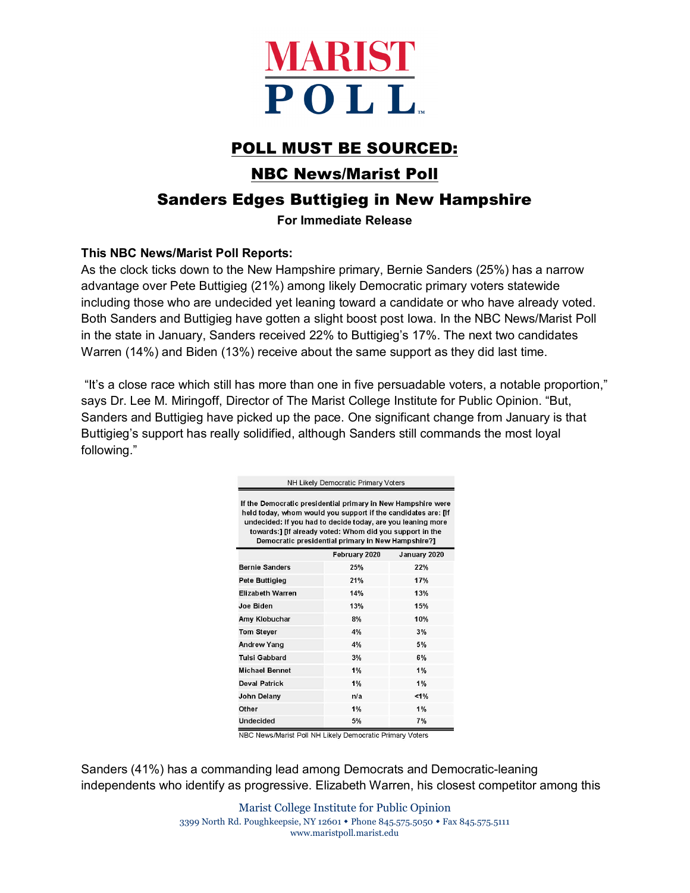

# POLL MUST BE SOURCED:

## NBC News/Marist Poll

## Sanders Edges Buttigieg in New Hampshire

#### **For Immediate Release**

#### **This NBC News/Marist Poll Reports:**

As the clock ticks down to the New Hampshire primary, Bernie Sanders (25%) has a narrow advantage over Pete Buttigieg (21%) among likely Democratic primary voters statewide including those who are undecided yet leaning toward a candidate or who have already voted. Both Sanders and Buttigieg have gotten a slight boost post Iowa. In the NBC News/Marist Poll in the state in January, Sanders received 22% to Buttigieg's 17%. The next two candidates Warren (14%) and Biden (13%) receive about the same support as they did last time.

"It's a close race which still has more than one in five persuadable voters, a notable proportion," says Dr. Lee M. Miringoff, Director of The Marist College Institute for Public Opinion. "But, Sanders and Buttigieg have picked up the pace. One significant change from January is that Buttigieg's support has really solidified, although Sanders still commands the most loyal following."

| NH Likely Democratic Primary Voters                                                                                                                                                                                                                                                                            |               |              |  |
|----------------------------------------------------------------------------------------------------------------------------------------------------------------------------------------------------------------------------------------------------------------------------------------------------------------|---------------|--------------|--|
| If the Democratic presidential primary in New Hampshire were<br>held today, whom would you support if the candidates are: [If<br>undecided: If you had to decide today, are you leaning more<br>towards:1 IIf already voted: Whom did you support in the<br>Democratic presidential primary in New Hampshire?] |               |              |  |
|                                                                                                                                                                                                                                                                                                                | February 2020 | January 2020 |  |
| <b>Bernie Sanders</b>                                                                                                                                                                                                                                                                                          | 25%           | 22%          |  |
| Pete Buttigleg                                                                                                                                                                                                                                                                                                 | 21%           | 17%          |  |
| <b>Elizabeth Warren</b>                                                                                                                                                                                                                                                                                        | 14%           | 13%          |  |
| Joe Biden                                                                                                                                                                                                                                                                                                      | 13%           | 15%          |  |
| Amy Klobuchar                                                                                                                                                                                                                                                                                                  | 8%            | 10%          |  |
| <b>Tom Stever</b>                                                                                                                                                                                                                                                                                              | 4%            | 3%           |  |
| <b>Andrew Yang</b>                                                                                                                                                                                                                                                                                             | 4%            | 5%           |  |
| <b>Tulsi Gabbard</b>                                                                                                                                                                                                                                                                                           | 3%            | 6%           |  |
| <b>Michael Bennet</b>                                                                                                                                                                                                                                                                                          | 1%            | 1%           |  |
| <b>Deval Patrick</b>                                                                                                                                                                                                                                                                                           | 1%            | 1%           |  |
| John Delany                                                                                                                                                                                                                                                                                                    | n/a           | 1%           |  |
| Other                                                                                                                                                                                                                                                                                                          | 1%            | 1%           |  |
| Undecided                                                                                                                                                                                                                                                                                                      | 5%            | 7%           |  |

NBC News/Marist Poll NH Likely Democratic Primary Voters

Sanders (41%) has a commanding lead among Democrats and Democratic-leaning independents who identify as progressive. Elizabeth Warren, his closest competitor among this

> Marist College Institute for Public Opinion 3399 North Rd. Poughkeepsie, NY 12601 Phone 845.575.5050 Fax 845.575.5111 [www.maristpoll.marist.edu](http://www.maristpoll.marist.edu/)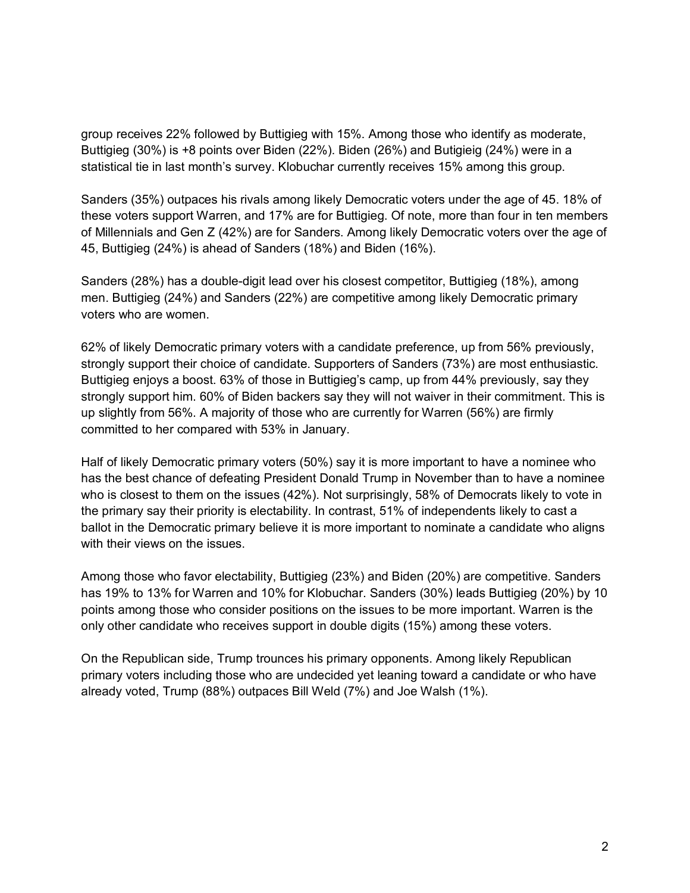group receives 22% followed by Buttigieg with 15%. Among those who identify as moderate, Buttigieg (30%) is +8 points over Biden (22%). Biden (26%) and Butigieig (24%) were in a statistical tie in last month's survey. Klobuchar currently receives 15% among this group.

Sanders (35%) outpaces his rivals among likely Democratic voters under the age of 45. 18% of these voters support Warren, and 17% are for Buttigieg. Of note, more than four in ten members of Millennials and Gen Z (42%) are for Sanders. Among likely Democratic voters over the age of 45, Buttigieg (24%) is ahead of Sanders (18%) and Biden (16%).

Sanders (28%) has a double-digit lead over his closest competitor, Buttigieg (18%), among men. Buttigieg (24%) and Sanders (22%) are competitive among likely Democratic primary voters who are women.

62% of likely Democratic primary voters with a candidate preference, up from 56% previously, strongly support their choice of candidate. Supporters of Sanders (73%) are most enthusiastic. Buttigieg enjoys a boost. 63% of those in Buttigieg's camp, up from 44% previously, say they strongly support him. 60% of Biden backers say they will not waiver in their commitment. This is up slightly from 56%. A majority of those who are currently for Warren (56%) are firmly committed to her compared with 53% in January.

Half of likely Democratic primary voters (50%) say it is more important to have a nominee who has the best chance of defeating President Donald Trump in November than to have a nominee who is closest to them on the issues (42%). Not surprisingly, 58% of Democrats likely to vote in the primary say their priority is electability. In contrast, 51% of independents likely to cast a ballot in the Democratic primary believe it is more important to nominate a candidate who aligns with their views on the issues.

Among those who favor electability, Buttigieg (23%) and Biden (20%) are competitive. Sanders has 19% to 13% for Warren and 10% for Klobuchar. Sanders (30%) leads Buttigieg (20%) by 10 points among those who consider positions on the issues to be more important. Warren is the only other candidate who receives support in double digits (15%) among these voters.

On the Republican side, Trump trounces his primary opponents. Among likely Republican primary voters including those who are undecided yet leaning toward a candidate or who have already voted, Trump (88%) outpaces Bill Weld (7%) and Joe Walsh (1%).